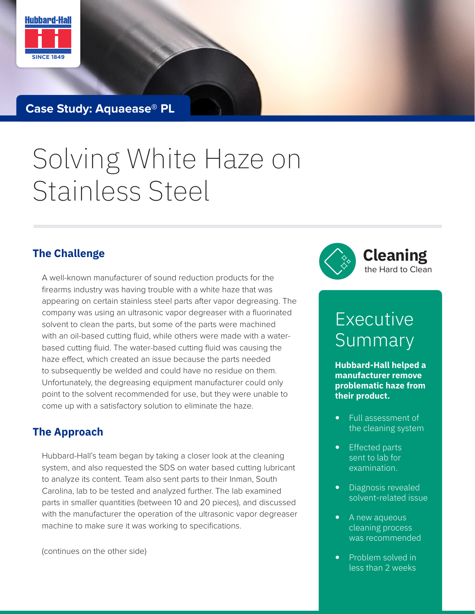

**Case Study: Aquaease® PL**

# Solving White Haze on Stainless Steel

A well-known manufacturer of sound reduction products for the firearms industry was having trouble with a white haze that was appearing on certain stainless steel parts after vapor degreasing. The company was using an ultrasonic vapor degreaser with a fluorinated solvent to clean the parts, but some of the parts were machined with an oil-based cutting fluid, while others were made with a waterbased cutting fluid. The water-based cutting fluid was causing the haze effect, which created an issue because the parts needed to subsequently be welded and could have no residue on them. Unfortunately, the degreasing equipment manufacturer could only point to the solvent recommended for use, but they were unable to come up with a satisfactory solution to eliminate the haze.

#### **The Approach**

Hubbard-Hall's team began by taking a closer look at the cleaning system, and also requested the SDS on water based cutting lubricant to analyze its content. Team also sent parts to their Inman, South Carolina, lab to be tested and analyzed further. The lab examined parts in smaller quantities (between 10 and 20 pieces), and discussed with the manufacturer the operation of the ultrasonic vapor degreaser machine to make sure it was working to specifications.

(continues on the other side)



## Executive Summary

**Hubbard-Hall helped a manufacturer remove problematic haze from their product.** 

- Full assessment of the cleaning system
- Effected parts sent to lab for examination.
- Diagnosis revealed solvent-related issue
- A new aqueous cleaning process was recommended
- Problem solved in less than 2 weeks